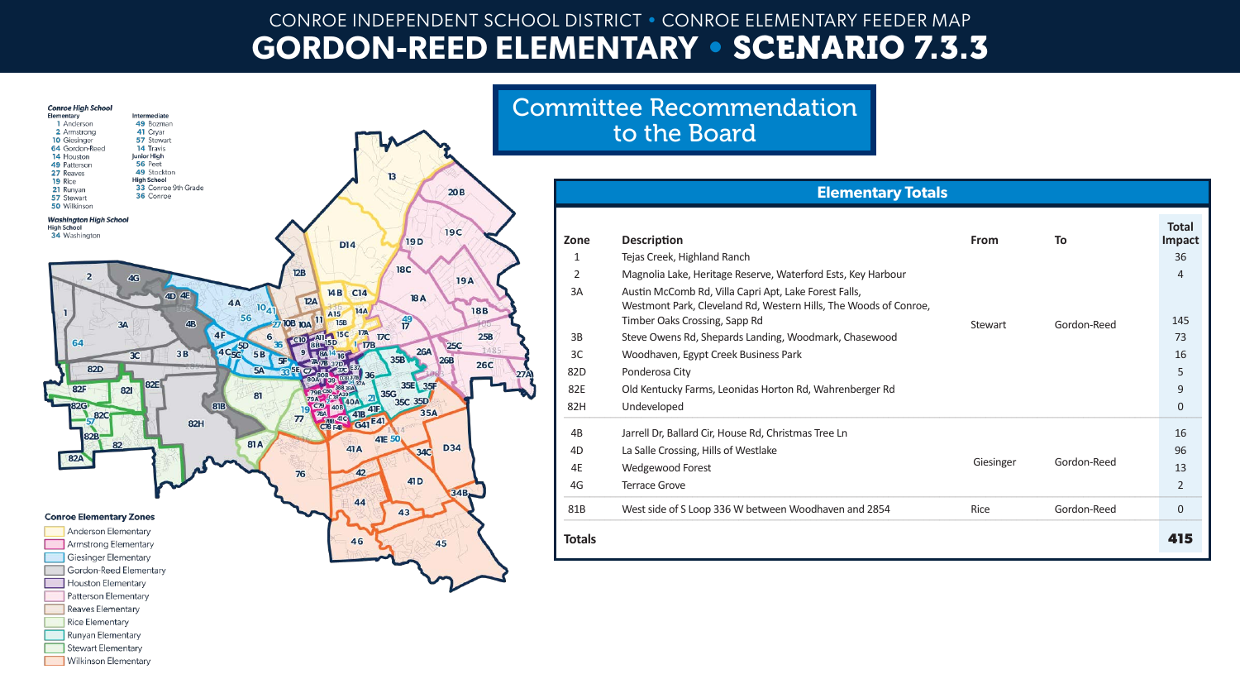## CONROE INDEPENDENT SCHOOL DISTRICT • CONROE ELEMENTARY FEEDER MAP **GORDON-REED ELEMENTARY •** SCENARIO 7.3.3



**Runyan Elementary** Stewart Elementary Wilkinson Elementary

|                | <b>Elementary Totals</b>                                                                                                                                   |             |             |                        |
|----------------|------------------------------------------------------------------------------------------------------------------------------------------------------------|-------------|-------------|------------------------|
| Zone           | <b>Description</b>                                                                                                                                         | <b>From</b> | To          | <b>Total</b><br>Impact |
| 1              | Tejas Creek, Highland Ranch                                                                                                                                |             |             | 36                     |
| $\overline{2}$ | Magnolia Lake, Heritage Reserve, Waterford Ests, Key Harbour                                                                                               |             |             | 4                      |
| 3A             | Austin McComb Rd, Villa Capri Apt, Lake Forest Falls,<br>Westmont Park, Cleveland Rd, Western Hills, The Woods of Conroe,<br>Timber Oaks Crossing, Sapp Rd | Stewart     | Gordon-Reed | 145                    |
| 3B             | Steve Owens Rd, Shepards Landing, Woodmark, Chasewood                                                                                                      |             |             | 73                     |
| 3C             | Woodhaven, Egypt Creek Business Park                                                                                                                       |             |             | 16                     |
| 82D            | Ponderosa City                                                                                                                                             |             |             | 5                      |
| 82E            | Old Kentucky Farms, Leonidas Horton Rd, Wahrenberger Rd                                                                                                    |             |             | 9                      |
| 82H            | Undeveloped                                                                                                                                                |             |             | 0                      |
| 4B             | Jarrell Dr, Ballard Cir, House Rd, Christmas Tree Ln                                                                                                       |             |             | 16                     |
| 4D             | La Salle Crossing, Hills of Westlake                                                                                                                       |             |             | 96                     |
| 4E             | Wedgewood Forest                                                                                                                                           | Giesinger   | Gordon-Reed | 13                     |
| 4G             | <b>Terrace Grove</b>                                                                                                                                       |             |             | $\overline{2}$         |
| 81B            | West side of S Loop 336 W between Woodhaven and 2854                                                                                                       | Rice        | Gordon-Reed | 0                      |
| Totals         |                                                                                                                                                            |             |             | 415                    |

| Zone   | <b>Description</b>                                                                                                                                         | From      | To          | ιυιαι<br>Impact |
|--------|------------------------------------------------------------------------------------------------------------------------------------------------------------|-----------|-------------|-----------------|
| 1      | Tejas Creek, Highland Ranch                                                                                                                                |           |             | 36              |
| 2      | Magnolia Lake, Heritage Reserve, Waterford Ests, Key Harbour                                                                                               |           |             | $\overline{4}$  |
| 3A     | Austin McComb Rd, Villa Capri Apt, Lake Forest Falls,<br>Westmont Park, Cleveland Rd, Western Hills, The Woods of Conroe,<br>Timber Oaks Crossing, Sapp Rd | Stewart   | Gordon-Reed | 145             |
| 3B     | Steve Owens Rd, Shepards Landing, Woodmark, Chasewood                                                                                                      |           |             | 73              |
| 3C     | Woodhaven, Egypt Creek Business Park                                                                                                                       |           |             | 16              |
| 82D    | Ponderosa City                                                                                                                                             |           |             | 5               |
| 82E    | Old Kentucky Farms, Leonidas Horton Rd, Wahrenberger Rd                                                                                                    |           |             | 9               |
| 82H    | Undeveloped                                                                                                                                                |           |             | $\mathbf{0}$    |
| 4B     | Jarrell Dr, Ballard Cir, House Rd, Christmas Tree Ln                                                                                                       |           |             | 16              |
| 4D     | La Salle Crossing, Hills of Westlake                                                                                                                       |           |             | 96              |
| 4E     | Wedgewood Forest                                                                                                                                           | Giesinger | Gordon-Reed | 13              |
| 4G     | <b>Terrace Grove</b>                                                                                                                                       |           |             | 2               |
| 81B    | West side of S Loop 336 W between Woodhaven and 2854                                                                                                       | Rice      | Gordon-Reed | $\mathbf{0}$    |
| Totals |                                                                                                                                                            |           |             | 415             |



## **Elementary Totals**

## Committee Recommendation to the Board